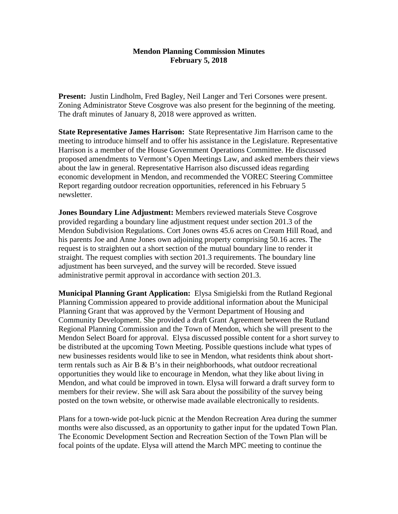## **Mendon Planning Commission Minutes February 5, 2018**

**Present:** Justin Lindholm, Fred Bagley, Neil Langer and Teri Corsones were present. Zoning Administrator Steve Cosgrove was also present for the beginning of the meeting. The draft minutes of January 8, 2018 were approved as written.

**State Representative James Harrison:** State Representative Jim Harrison came to the meeting to introduce himself and to offer his assistance in the Legislature. Representative Harrison is a member of the House Government Operations Committee. He discussed proposed amendments to Vermont's Open Meetings Law, and asked members their views about the law in general. Representative Harrison also discussed ideas regarding economic development in Mendon, and recommended the VOREC Steering Committee Report regarding outdoor recreation opportunities, referenced in his February 5 newsletter.

**Jones Boundary Line Adjustment:** Members reviewed materials Steve Cosgrove provided regarding a boundary line adjustment request under section 201.3 of the Mendon Subdivision Regulations. Cort Jones owns 45.6 acres on Cream Hill Road, and his parents Joe and Anne Jones own adjoining property comprising 50.16 acres. The request is to straighten out a short section of the mutual boundary line to render it straight. The request complies with section 201.3 requirements. The boundary line adjustment has been surveyed, and the survey will be recorded. Steve issued administrative permit approval in accordance with section 201.3.

**Municipal Planning Grant Application:** Elysa Smigielski from the Rutland Regional Planning Commission appeared to provide additional information about the Municipal Planning Grant that was approved by the Vermont Department of Housing and Community Development. She provided a draft Grant Agreement between the Rutland Regional Planning Commission and the Town of Mendon, which she will present to the Mendon Select Board for approval. Elysa discussed possible content for a short survey to be distributed at the upcoming Town Meeting. Possible questions include what types of new businesses residents would like to see in Mendon, what residents think about shortterm rentals such as Air  $B \& B$ 's in their neighborhoods, what outdoor recreational opportunities they would like to encourage in Mendon, what they like about living in Mendon, and what could be improved in town. Elysa will forward a draft survey form to members for their review. She will ask Sara about the possibility of the survey being posted on the town website, or otherwise made available electronically to residents.

Plans for a town-wide pot-luck picnic at the Mendon Recreation Area during the summer months were also discussed, as an opportunity to gather input for the updated Town Plan. The Economic Development Section and Recreation Section of the Town Plan will be focal points of the update. Elysa will attend the March MPC meeting to continue the